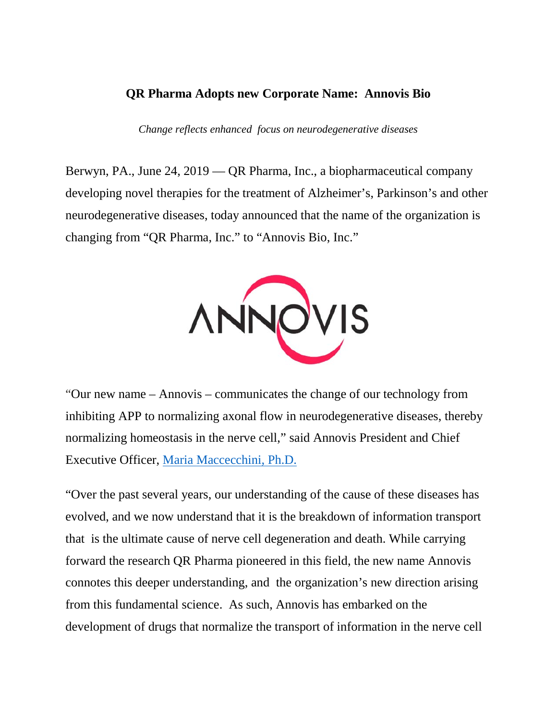## **QR Pharma Adopts new Corporate Name: Annovis Bio**

*Change reflects enhanced focus on neurodegenerative diseases*

Berwyn, PA., June 24, 2019 — QR Pharma, Inc., a biopharmaceutical company developing novel therapies for the treatment of Alzheimer's, Parkinson's and other neurodegenerative diseases, today announced that the name of the organization is changing from "QR Pharma, Inc." to "Annovis Bio, Inc."



"Our new name – Annovis – communicates the change of our technology from inhibiting APP to normalizing axonal flow in neurodegenerative diseases, thereby normalizing homeostasis in the nerve cell," said Annovis President and Chief Executive Officer, [Maria Maccecchini, Ph.D.](http://qrpharma.com/about-us/)

"Over the past several years, our understanding of the cause of these diseases has evolved, and we now understand that it is the breakdown of information transport that is the ultimate cause of nerve cell degeneration and death. While carrying forward the research QR Pharma pioneered in this field, the new name Annovis connotes this deeper understanding, and the organization's new direction arising from this fundamental science. As such, Annovis has embarked on the development of drugs that normalize the transport of information in the nerve cell